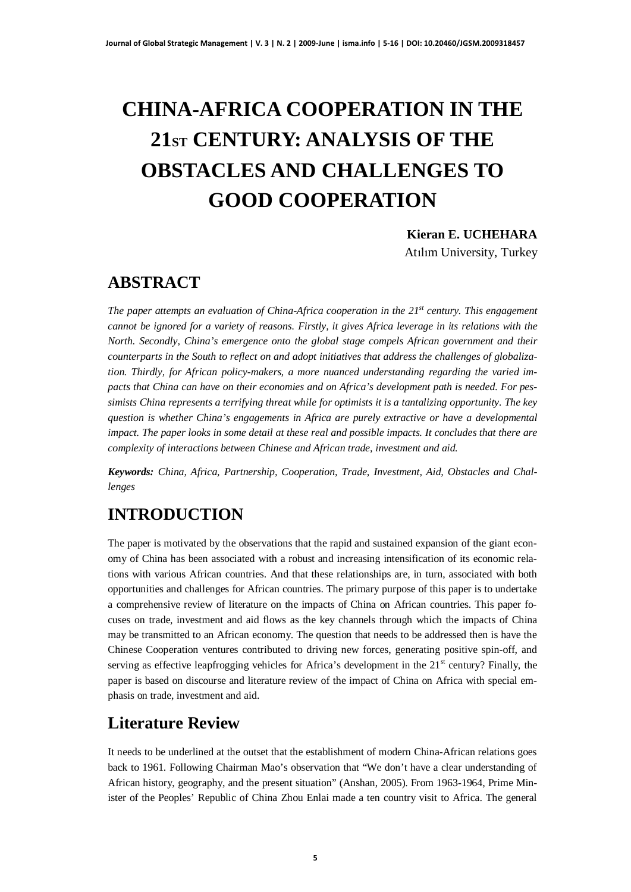# **CHINA-AFRICA COOPERATION IN THE 21ST CENTURY: ANALYSIS OF THE OBSTACLES AND CHALLENGES TO GOOD COOPERATION**

**Kieran E. UCHEHARA**

Atılım University, Turkey

## **ABSTRACT**

*The paper attempts an evaluation of China-Africa cooperation in the 21st century. This engagement cannot be ignored for a variety of reasons. Firstly, it gives Africa leverage in its relations with the North. Secondly, China's emergence onto the global stage compels African government and their counterparts in the South to reflect on and adopt initiatives that address the challenges of globalization. Thirdly, for African policy-makers, a more nuanced understanding regarding the varied impacts that China can have on their economies and on Africa's development path is needed. For pessimists China represents a terrifying threat while for optimists it is a tantalizing opportunity. The key question is whether China's engagements in Africa are purely extractive or have a developmental impact. The paper looks in some detail at these real and possible impacts. It concludes that there are complexity of interactions between Chinese and African trade, investment and aid.*

*Keywords: China, Africa, Partnership, Cooperation, Trade, Investment, Aid, Obstacles and Challenges*

## **INTRODUCTION**

The paper is motivated by the observations that the rapid and sustained expansion of the giant economy of China has been associated with a robust and increasing intensification of its economic relations with various African countries. And that these relationships are, in turn, associated with both opportunities and challenges for African countries. The primary purpose of this paper is to undertake a comprehensive review of literature on the impacts of China on African countries. This paper focuses on trade, investment and aid flows as the key channels through which the impacts of China may be transmitted to an African economy. The question that needs to be addressed then is have the Chinese Cooperation ventures contributed to driving new forces, generating positive spin-off, and serving as effective leapfrogging vehicles for Africa's development in the  $21<sup>st</sup>$  century? Finally, the paper is based on discourse and literature review of the impact of China on Africa with special emphasis on trade, investment and aid.

## **Literature Review**

It needs to be underlined at the outset that the establishment of modern China-African relations goes back to 1961. Following Chairman Mao's observation that "We don't have a clear understanding of African history, geography, and the present situation" (Anshan, 2005). From 1963-1964, Prime Minister of the Peoples' Republic of China Zhou Enlai made a ten country visit to Africa. The general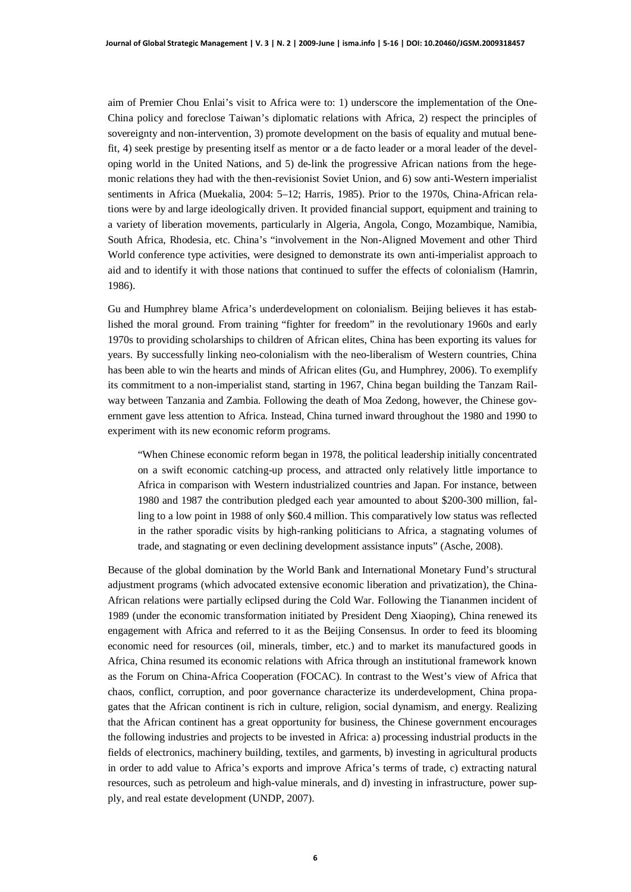aim of Premier Chou Enlai's visit to Africa were to: 1) underscore the implementation of the One-China policy and foreclose Taiwan's diplomatic relations with Africa, 2) respect the principles of sovereignty and non-intervention, 3) promote development on the basis of equality and mutual benefit, 4) seek prestige by presenting itself as mentor or a de facto leader or a moral leader of the developing world in the United Nations, and 5) de-link the progressive African nations from the hegemonic relations they had with the then-revisionist Soviet Union, and 6) sow anti-Western imperialist sentiments in Africa (Muekalia, 2004: 5–12; Harris, 1985). Prior to the 1970s, China-African relations were by and large ideologically driven. It provided financial support, equipment and training to a variety of liberation movements, particularly in Algeria, Angola, Congo, Mozambique, Namibia, South Africa, Rhodesia, etc. China's "involvement in the Non-Aligned Movement and other Third World conference type activities, were designed to demonstrate its own anti-imperialist approach to aid and to identify it with those nations that continued to suffer the effects of colonialism (Hamrin, 1986).

Gu and Humphrey blame Africa's underdevelopment on colonialism. Beijing believes it has established the moral ground. From training "fighter for freedom" in the revolutionary 1960s and early 1970s to providing scholarships to children of African elites, China has been exporting its values for years. By successfully linking neo-colonialism with the neo-liberalism of Western countries, China has been able to win the hearts and minds of African elites (Gu, and Humphrey, 2006). To exemplify its commitment to a non-imperialist stand, starting in 1967, China began building the Tanzam Railway between Tanzania and Zambia. Following the death of Moa Zedong, however, the Chinese government gave less attention to Africa. Instead, China turned inward throughout the 1980 and 1990 to experiment with its new economic reform programs.

"When Chinese economic reform began in 1978, the political leadership initially concentrated on a swift economic catching-up process, and attracted only relatively little importance to Africa in comparison with Western industrialized countries and Japan. For instance, between 1980 and 1987 the contribution pledged each year amounted to about \$200-300 million, falling to a low point in 1988 of only \$60.4 million. This comparatively low status was reflected in the rather sporadic visits by high-ranking politicians to Africa, a stagnating volumes of trade, and stagnating or even declining development assistance inputs" (Asche, 2008).

Because of the global domination by the World Bank and International Monetary Fund's structural adjustment programs (which advocated extensive economic liberation and privatization), the China-African relations were partially eclipsed during the Cold War. Following the Tiananmen incident of 1989 (under the economic transformation initiated by President Deng Xiaoping), China renewed its engagement with Africa and referred to it as the Beijing Consensus. In order to feed its blooming economic need for resources (oil, minerals, timber, etc.) and to market its manufactured goods in Africa, China resumed its economic relations with Africa through an institutional framework known as the Forum on China-Africa Cooperation (FOCAC). In contrast to the West's view of Africa that chaos, conflict, corruption, and poor governance characterize its underdevelopment, China propagates that the African continent is rich in culture, religion, social dynamism, and energy. Realizing that the African continent has a great opportunity for business, the Chinese government encourages the following industries and projects to be invested in Africa: a) processing industrial products in the fields of electronics, machinery building, textiles, and garments, b) investing in agricultural products in order to add value to Africa's exports and improve Africa's terms of trade, c) extracting natural resources, such as petroleum and high-value minerals, and d) investing in infrastructure, power supply, and real estate development (UNDP, 2007).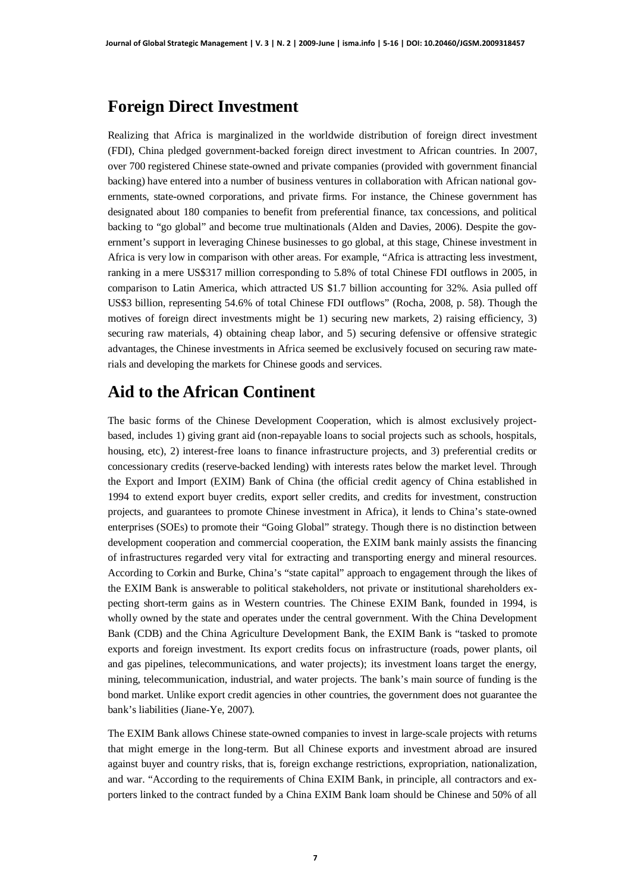#### **Foreign Direct Investment**

Realizing that Africa is marginalized in the worldwide distribution of foreign direct investment (FDI), China pledged government-backed foreign direct investment to African countries. In 2007, over 700 registered Chinese state-owned and private companies (provided with government financial backing) have entered into a number of business ventures in collaboration with African national governments, state-owned corporations, and private firms. For instance, the Chinese government has designated about 180 companies to benefit from preferential finance, tax concessions, and political backing to "go global" and become true multinationals (Alden and Davies, 2006). Despite the government's support in leveraging Chinese businesses to go global, at this stage, Chinese investment in Africa is very low in comparison with other areas. For example, "Africa is attracting less investment, ranking in a mere US\$317 million corresponding to 5.8% of total Chinese FDI outflows in 2005, in comparison to Latin America, which attracted US \$1.7 billion accounting for 32%. Asia pulled off US\$3 billion, representing 54.6% of total Chinese FDI outflows" (Rocha, 2008, p. 58). Though the motives of foreign direct investments might be 1) securing new markets, 2) raising efficiency, 3) securing raw materials, 4) obtaining cheap labor, and 5) securing defensive or offensive strategic advantages, the Chinese investments in Africa seemed be exclusively focused on securing raw materials and developing the markets for Chinese goods and services.

#### **Aid to the African Continent**

The basic forms of the Chinese Development Cooperation, which is almost exclusively projectbased, includes 1) giving grant aid (non-repayable loans to social projects such as schools, hospitals, housing, etc), 2) interest-free loans to finance infrastructure projects, and 3) preferential credits or concessionary credits (reserve-backed lending) with interests rates below the market level. Through the Export and Import (EXIM) Bank of China (the official credit agency of China established in 1994 to extend export buyer credits, export seller credits, and credits for investment, construction projects, and guarantees to promote Chinese investment in Africa), it lends to China's state-owned enterprises (SOEs) to promote their "Going Global" strategy. Though there is no distinction between development cooperation and commercial cooperation, the EXIM bank mainly assists the financing of infrastructures regarded very vital for extracting and transporting energy and mineral resources. According to Corkin and Burke, China's "state capital" approach to engagement through the likes of the EXIM Bank is answerable to political stakeholders, not private or institutional shareholders expecting short-term gains as in Western countries. The Chinese EXIM Bank, founded in 1994, is wholly owned by the state and operates under the central government. With the China Development Bank (CDB) and the China Agriculture Development Bank, the EXIM Bank is "tasked to promote exports and foreign investment. Its export credits focus on infrastructure (roads, power plants, oil and gas pipelines, telecommunications, and water projects); its investment loans target the energy, mining, telecommunication, industrial, and water projects. The bank's main source of funding is the bond market. Unlike export credit agencies in other countries, the government does not guarantee the bank's liabilities (Jiane-Ye, 2007).

The EXIM Bank allows Chinese state-owned companies to invest in large-scale projects with returns that might emerge in the long-term. But all Chinese exports and investment abroad are insured against buyer and country risks, that is, foreign exchange restrictions, expropriation, nationalization, and war. "According to the requirements of China EXIM Bank, in principle, all contractors and exporters linked to the contract funded by a China EXIM Bank loam should be Chinese and 50% of all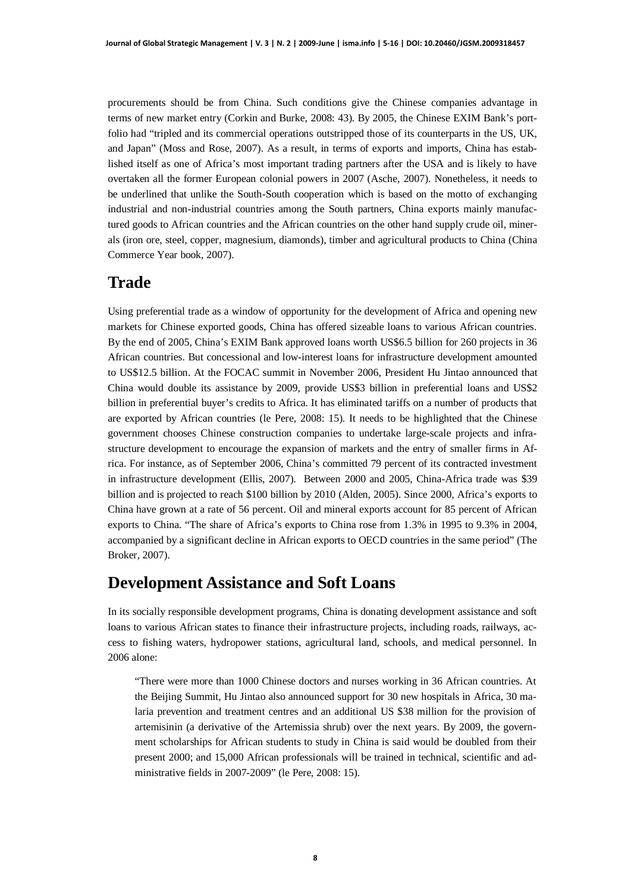procurements should be from China. Such conditions give the Chinese companies advantage in terms of new market entry (Corkin and Burke, 2008: 43). By 2005, the Chinese EXIM Bank's portfolio had "tripled and its commercial operations outstripped those of its counterparts in the US, UK, and Japan" (Moss and Rose, 2007). As a result, in terms of exports and imports, China has established itself as one of Africa's most important trading partners after the USA and is likely to have overtaken all the former European colonial powers in 2007 (Asche, 2007). Nonetheless, it needs to be underlined that unlike the South-South cooperation which is based on the motto of exchanging industrial and non-industrial countries among the South partners, China exports mainly manufactured goods to African countries and the African countries on the other hand supply crude oil, minerals (iron ore, steel, copper, magnesium, diamonds), timber and agricultural products to China (China Commerce Year book, 2007).

#### **Trade**

Using preferential trade as a window of opportunity for the development of Africa and opening new markets for Chinese exported goods, China has offered sizeable loans to various African countries. By the end of 2005, China's EXIM Bank approved loans worth US\$6.5 billion for 260 projects in 36 African countries. But concessional and low-interest loans for infrastructure development amounted to US\$12.5 billion. At the FOCAC summit in November 2006, President Hu Jintao announced that China would double its assistance by 2009, provide US\$3 billion in preferential loans and US\$2 billion in preferential buyer's credits to Africa. It has eliminated tariffs on a number of products that are exported by African countries (le Pere, 2008: 15). It needs to be highlighted that the Chinese government chooses Chinese construction companies to undertake large-scale projects and infrastructure development to encourage the expansion of markets and the entry of smaller firms in Africa. For instance, as of September 2006, China's committed 79 percent of its contracted investment in infrastructure development (Ellis, 2007). Between 2000 and 2005, China-Africa trade was \$39 billion and is projected to reach \$100 billion by 2010 (Alden, 2005). Since 2000, Africa's exports to China have grown at a rate of 56 percent. Oil and mineral exports account for 85 percent of African exports to China. "The share of Africa's exports to China rose from 1.3% in 1995 to 9.3% in 2004, accompanied by a significant decline in African exports to OECD countries in the same period" (The Broker, 2007).

#### **Development Assistance and Soft Loans**

In its socially responsible development programs, China is donating development assistance and soft loans to various African states to finance their infrastructure projects, including roads, railways, access to fishing waters, hydropower stations, agricultural land, schools, and medical personnel. In 2006 alone:

"There were more than 1000 Chinese doctors and nurses working in 36 African countries. At the Beijing Summit, Hu Jintao also announced support for 30 new hospitals in Africa, 30 malaria prevention and treatment centres and an additional US \$38 million for the provision of artemisinin (a derivative of the Artemissia shrub) over the next years. By 2009, the government scholarships for African students to study in China is said would be doubled from their present 2000; and 15,000 African professionals will be trained in technical, scientific and administrative fields in 2007-2009" (le Pere, 2008: 15).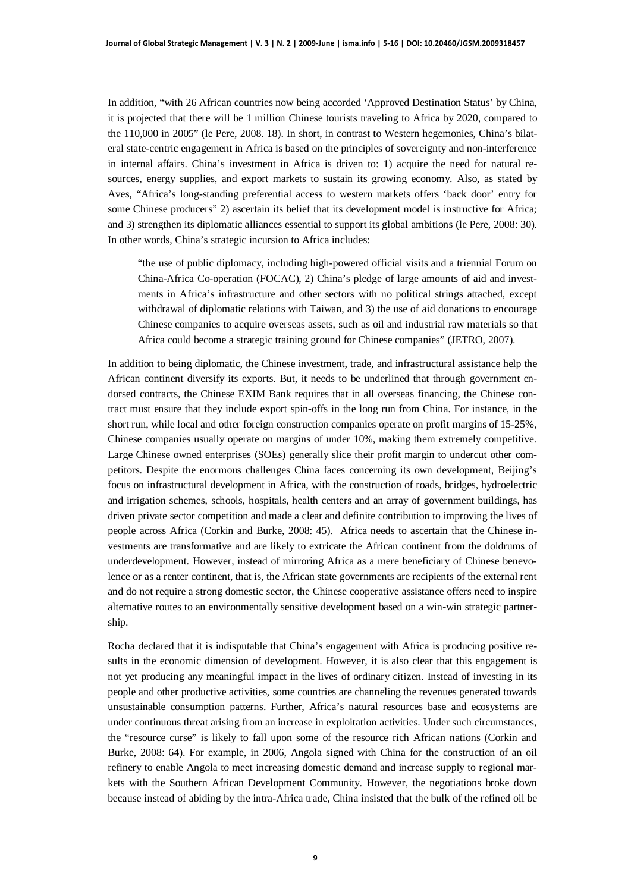In addition, "with 26 African countries now being accorded 'Approved Destination Status' by China, it is projected that there will be 1 million Chinese tourists traveling to Africa by 2020, compared to the 110,000 in 2005" (le Pere, 2008. 18). In short, in contrast to Western hegemonies, China's bilateral state-centric engagement in Africa is based on the principles of sovereignty and non-interference in internal affairs. China's investment in Africa is driven to: 1) acquire the need for natural resources, energy supplies, and export markets to sustain its growing economy. Also, as stated by Aves, "Africa's long-standing preferential access to western markets offers 'back door' entry for some Chinese producers" 2) ascertain its belief that its development model is instructive for Africa; and 3) strengthen its diplomatic alliances essential to support its global ambitions (le Pere, 2008: 30). In other words, China's strategic incursion to Africa includes:

"the use of public diplomacy, including high-powered official visits and a triennial Forum on China-Africa Co-operation (FOCAC), 2) China's pledge of large amounts of aid and investments in Africa's infrastructure and other sectors with no political strings attached, except withdrawal of diplomatic relations with Taiwan, and 3) the use of aid donations to encourage Chinese companies to acquire overseas assets, such as oil and industrial raw materials so that Africa could become a strategic training ground for Chinese companies" (JETRO, 2007).

In addition to being diplomatic, the Chinese investment, trade, and infrastructural assistance help the African continent diversify its exports. But, it needs to be underlined that through government endorsed contracts, the Chinese EXIM Bank requires that in all overseas financing, the Chinese contract must ensure that they include export spin-offs in the long run from China. For instance, in the short run, while local and other foreign construction companies operate on profit margins of 15-25%, Chinese companies usually operate on margins of under 10%, making them extremely competitive. Large Chinese owned enterprises (SOEs) generally slice their profit margin to undercut other competitors. Despite the enormous challenges China faces concerning its own development, Beijing's focus on infrastructural development in Africa, with the construction of roads, bridges, hydroelectric and irrigation schemes, schools, hospitals, health centers and an array of government buildings, has driven private sector competition and made a clear and definite contribution to improving the lives of people across Africa (Corkin and Burke, 2008: 45). Africa needs to ascertain that the Chinese investments are transformative and are likely to extricate the African continent from the doldrums of underdevelopment. However, instead of mirroring Africa as a mere beneficiary of Chinese benevolence or as a renter continent, that is, the African state governments are recipients of the external rent and do not require a strong domestic sector, the Chinese cooperative assistance offers need to inspire alternative routes to an environmentally sensitive development based on a win-win strategic partnership.

Rocha declared that it is indisputable that China's engagement with Africa is producing positive results in the economic dimension of development. However, it is also clear that this engagement is not yet producing any meaningful impact in the lives of ordinary citizen. Instead of investing in its people and other productive activities, some countries are channeling the revenues generated towards unsustainable consumption patterns. Further, Africa's natural resources base and ecosystems are under continuous threat arising from an increase in exploitation activities. Under such circumstances, the "resource curse" is likely to fall upon some of the resource rich African nations (Corkin and Burke, 2008: 64). For example, in 2006, Angola signed with China for the construction of an oil refinery to enable Angola to meet increasing domestic demand and increase supply to regional markets with the Southern African Development Community. However, the negotiations broke down because instead of abiding by the intra-Africa trade, China insisted that the bulk of the refined oil be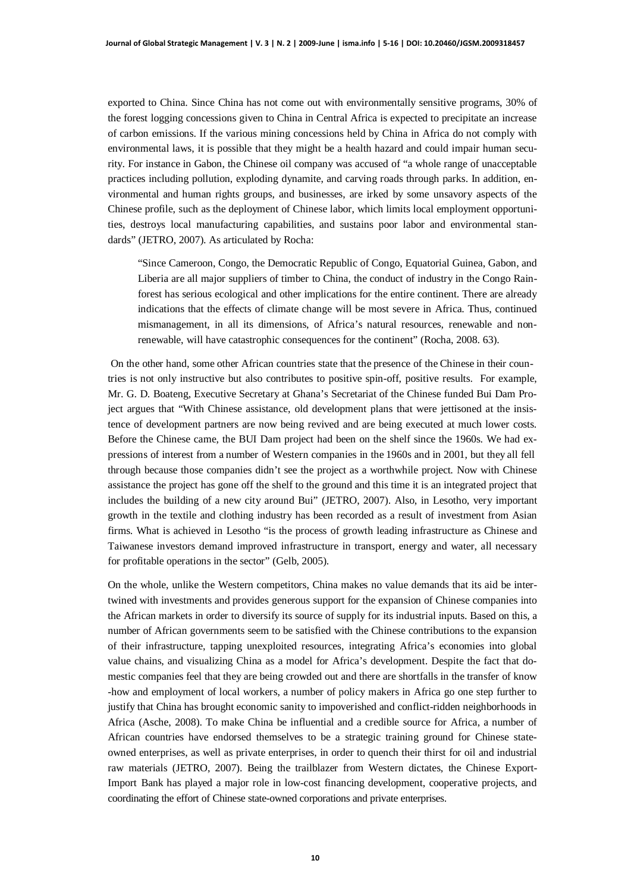exported to China. Since China has not come out with environmentally sensitive programs, 30% of the forest logging concessions given to China in Central Africa is expected to precipitate an increase of carbon emissions. If the various mining concessions held by China in Africa do not comply with environmental laws, it is possible that they might be a health hazard and could impair human security. For instance in Gabon, the Chinese oil company was accused of "a whole range of unacceptable practices including pollution, exploding dynamite, and carving roads through parks. In addition, environmental and human rights groups, and businesses, are irked by some unsavory aspects of the Chinese profile, such as the deployment of Chinese labor, which limits local employment opportunities, destroys local manufacturing capabilities, and sustains poor labor and environmental standards" (JETRO, 2007). As articulated by Rocha:

"Since Cameroon, Congo, the Democratic Republic of Congo, Equatorial Guinea, Gabon, and Liberia are all major suppliers of timber to China, the conduct of industry in the Congo Rainforest has serious ecological and other implications for the entire continent. There are already indications that the effects of climate change will be most severe in Africa. Thus, continued mismanagement, in all its dimensions, of Africa's natural resources, renewable and nonrenewable, will have catastrophic consequences for the continent" (Rocha, 2008. 63).

 On the other hand, some other African countries state that the presence of the Chinese in their countries is not only instructive but also contributes to positive spin-off, positive results. For example, Mr. G. D. Boateng, Executive Secretary at Ghana's Secretariat of the Chinese funded Bui Dam Project argues that "With Chinese assistance, old development plans that were jettisoned at the insistence of development partners are now being revived and are being executed at much lower costs. Before the Chinese came, the BUI Dam project had been on the shelf since the 1960s. We had expressions of interest from a number of Western companies in the 1960s and in 2001, but they all fell through because those companies didn't see the project as a worthwhile project. Now with Chinese assistance the project has gone off the shelf to the ground and this time it is an integrated project that includes the building of a new city around Bui" (JETRO, 2007). Also, in Lesotho, very important growth in the textile and clothing industry has been recorded as a result of investment from Asian firms. What is achieved in Lesotho "is the process of growth leading infrastructure as Chinese and Taiwanese investors demand improved infrastructure in transport, energy and water, all necessary for profitable operations in the sector" (Gelb, 2005).

On the whole, unlike the Western competitors, China makes no value demands that its aid be intertwined with investments and provides generous support for the expansion of Chinese companies into the African markets in order to diversify its source of supply for its industrial inputs. Based on this, a number of African governments seem to be satisfied with the Chinese contributions to the expansion of their infrastructure, tapping unexploited resources, integrating Africa's economies into global value chains, and visualizing China as a model for Africa's development. Despite the fact that domestic companies feel that they are being crowded out and there are shortfalls in the transfer of know -how and employment of local workers, a number of policy makers in Africa go one step further to justify that China has brought economic sanity to impoverished and conflict-ridden neighborhoods in Africa (Asche, 2008). To make China be influential and a credible source for Africa, a number of African countries have endorsed themselves to be a strategic training ground for Chinese stateowned enterprises, as well as private enterprises, in order to quench their thirst for oil and industrial raw materials (JETRO, 2007). Being the trailblazer from Western dictates, the Chinese Export-Import Bank has played a major role in low-cost financing development, cooperative projects, and coordinating the effort of Chinese state-owned corporations and private enterprises.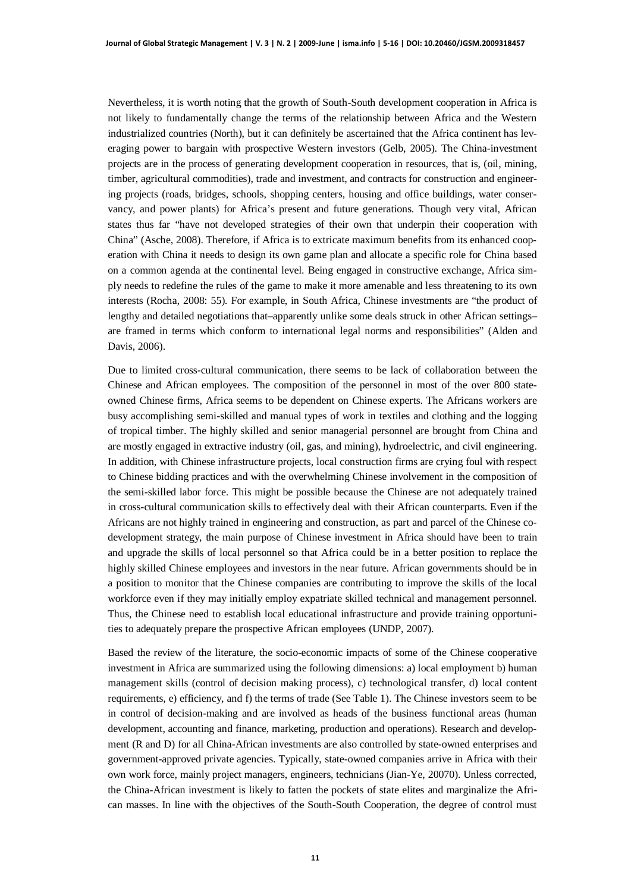Nevertheless, it is worth noting that the growth of South-South development cooperation in Africa is not likely to fundamentally change the terms of the relationship between Africa and the Western industrialized countries (North), but it can definitely be ascertained that the Africa continent has leveraging power to bargain with prospective Western investors (Gelb, 2005). The China-investment projects are in the process of generating development cooperation in resources, that is, (oil, mining, timber, agricultural commodities), trade and investment, and contracts for construction and engineering projects (roads, bridges, schools, shopping centers, housing and office buildings, water conservancy, and power plants) for Africa's present and future generations. Though very vital, African states thus far "have not developed strategies of their own that underpin their cooperation with China" (Asche, 2008). Therefore, if Africa is to extricate maximum benefits from its enhanced cooperation with China it needs to design its own game plan and allocate a specific role for China based on a common agenda at the continental level. Being engaged in constructive exchange, Africa simply needs to redefine the rules of the game to make it more amenable and less threatening to its own interests (Rocha, 2008: 55). For example, in South Africa, Chinese investments are "the product of lengthy and detailed negotiations that–apparently unlike some deals struck in other African settings– are framed in terms which conform to international legal norms and responsibilities" (Alden and Davis, 2006).

Due to limited cross-cultural communication, there seems to be lack of collaboration between the Chinese and African employees. The composition of the personnel in most of the over 800 stateowned Chinese firms, Africa seems to be dependent on Chinese experts. The Africans workers are busy accomplishing semi-skilled and manual types of work in textiles and clothing and the logging of tropical timber. The highly skilled and senior managerial personnel are brought from China and are mostly engaged in extractive industry (oil, gas, and mining), hydroelectric, and civil engineering. In addition, with Chinese infrastructure projects, local construction firms are crying foul with respect to Chinese bidding practices and with the overwhelming Chinese involvement in the composition of the semi-skilled labor force. This might be possible because the Chinese are not adequately trained in cross-cultural communication skills to effectively deal with their African counterparts. Even if the Africans are not highly trained in engineering and construction, as part and parcel of the Chinese codevelopment strategy, the main purpose of Chinese investment in Africa should have been to train and upgrade the skills of local personnel so that Africa could be in a better position to replace the highly skilled Chinese employees and investors in the near future. African governments should be in a position to monitor that the Chinese companies are contributing to improve the skills of the local workforce even if they may initially employ expatriate skilled technical and management personnel. Thus, the Chinese need to establish local educational infrastructure and provide training opportunities to adequately prepare the prospective African employees (UNDP, 2007).

Based the review of the literature, the socio-economic impacts of some of the Chinese cooperative investment in Africa are summarized using the following dimensions: a) local employment b) human management skills (control of decision making process), c) technological transfer, d) local content requirements, e) efficiency, and f) the terms of trade (See Table 1). The Chinese investors seem to be in control of decision-making and are involved as heads of the business functional areas (human development, accounting and finance, marketing, production and operations). Research and development (R and D) for all China-African investments are also controlled by state-owned enterprises and government-approved private agencies. Typically, state-owned companies arrive in Africa with their own work force, mainly project managers, engineers, technicians (Jian-Ye, 20070). Unless corrected, the China-African investment is likely to fatten the pockets of state elites and marginalize the African masses. In line with the objectives of the South-South Cooperation, the degree of control must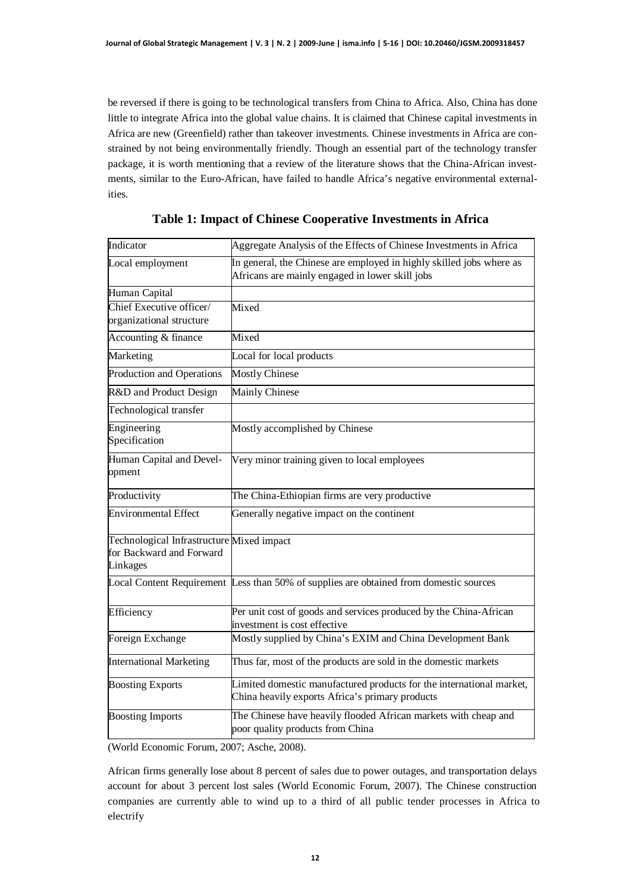be reversed if there is going to be technological transfers from China to Africa. Also, China has done little to integrate Africa into the global value chains. It is claimed that Chinese capital investments in Africa are new (Greenfield) rather than takeover investments. Chinese investments in Africa are constrained by not being environmentally friendly. Though an essential part of the technology transfer package, it is worth mentioning that a review of the literature shows that the China-African investments, similar to the Euro-African, have failed to handle Africa's negative environmental externalities.

| Indicator                                                                         | Aggregate Analysis of the Effects of Chinese Investments in Africa                                                      |  |
|-----------------------------------------------------------------------------------|-------------------------------------------------------------------------------------------------------------------------|--|
| Local employment                                                                  | In general, the Chinese are employed in highly skilled jobs where as<br>Africans are mainly engaged in lower skill jobs |  |
| Human Capital                                                                     |                                                                                                                         |  |
| Chief Executive officer/<br>organizational structure                              | Mixed                                                                                                                   |  |
| Accounting & finance                                                              | Mixed                                                                                                                   |  |
| Marketing                                                                         | Local for local products                                                                                                |  |
| Production and Operations                                                         | <b>Mostly Chinese</b>                                                                                                   |  |
| R&D and Product Design                                                            | Mainly Chinese                                                                                                          |  |
| Technological transfer                                                            |                                                                                                                         |  |
| Engineering<br>Specification                                                      | Mostly accomplished by Chinese                                                                                          |  |
| Human Capital and Devel-<br>opment                                                | Very minor training given to local employees                                                                            |  |
| Productivity                                                                      | The China-Ethiopian firms are very productive                                                                           |  |
| <b>Environmental Effect</b>                                                       | Generally negative impact on the continent                                                                              |  |
| Technological Infrastructure Mixed impact<br>for Backward and Forward<br>Linkages |                                                                                                                         |  |
|                                                                                   | Local Content Requirement Less than 50% of supplies are obtained from domestic sources                                  |  |
| Efficiency                                                                        | Per unit cost of goods and services produced by the China-African<br>investment is cost effective                       |  |
| Foreign Exchange                                                                  | Mostly supplied by China's EXIM and China Development Bank                                                              |  |
| <b>International Marketing</b>                                                    | Thus far, most of the products are sold in the domestic markets                                                         |  |
| <b>Boosting Exports</b>                                                           | Limited domestic manufactured products for the international market,<br>China heavily exports Africa's primary products |  |
| <b>Boosting Imports</b>                                                           | The Chinese have heavily flooded African markets with cheap and<br>poor quality products from China                     |  |

| Table 1: Impact of Chinese Cooperative Investments in Africa |  |
|--------------------------------------------------------------|--|
|--------------------------------------------------------------|--|

(World Economic Forum, 2007; Asche, 2008).

African firms generally lose about 8 percent of sales due to power outages, and transportation delays account for about 3 percent lost sales (World Economic Forum, 2007). The Chinese construction companies are currently able to wind up to a third of all public tender processes in Africa to electrify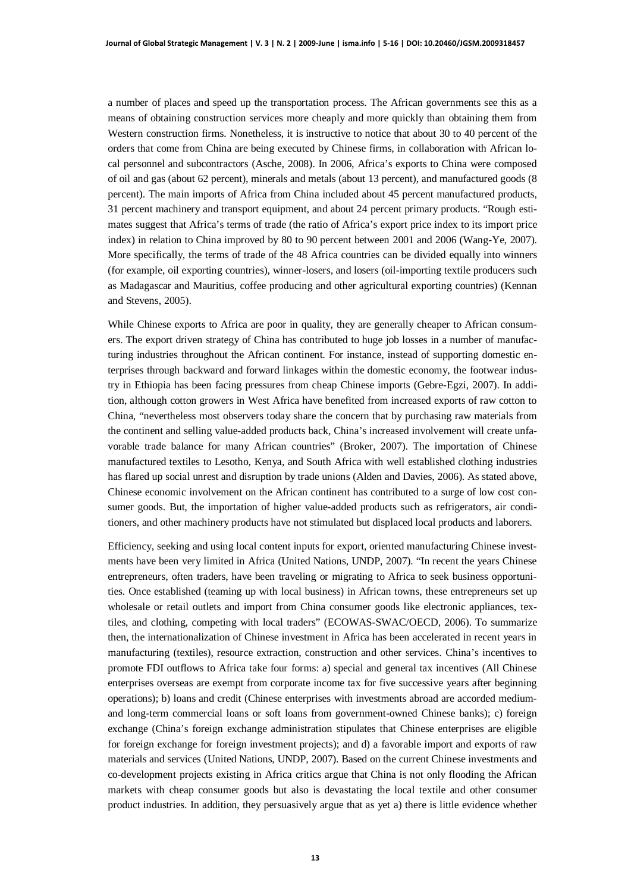a number of places and speed up the transportation process. The African governments see this as a means of obtaining construction services more cheaply and more quickly than obtaining them from Western construction firms. Nonetheless, it is instructive to notice that about 30 to 40 percent of the orders that come from China are being executed by Chinese firms, in collaboration with African local personnel and subcontractors (Asche, 2008). In 2006, Africa's exports to China were composed of oil and gas (about 62 percent), minerals and metals (about 13 percent), and manufactured goods (8 percent). The main imports of Africa from China included about 45 percent manufactured products, 31 percent machinery and transport equipment, and about 24 percent primary products. "Rough estimates suggest that Africa's terms of trade (the ratio of Africa's export price index to its import price index) in relation to China improved by 80 to 90 percent between 2001 and 2006 (Wang-Ye, 2007). More specifically, the terms of trade of the 48 Africa countries can be divided equally into winners (for example, oil exporting countries), winner-losers, and losers (oil-importing textile producers such as Madagascar and Mauritius, coffee producing and other agricultural exporting countries) (Kennan and Stevens, 2005).

While Chinese exports to Africa are poor in quality, they are generally cheaper to African consumers. The export driven strategy of China has contributed to huge job losses in a number of manufacturing industries throughout the African continent. For instance, instead of supporting domestic enterprises through backward and forward linkages within the domestic economy, the footwear industry in Ethiopia has been facing pressures from cheap Chinese imports (Gebre-Egzi, 2007). In addition, although cotton growers in West Africa have benefited from increased exports of raw cotton to China, "nevertheless most observers today share the concern that by purchasing raw materials from the continent and selling value-added products back, China's increased involvement will create unfavorable trade balance for many African countries" (Broker, 2007). The importation of Chinese manufactured textiles to Lesotho, Kenya, and South Africa with well established clothing industries has flared up social unrest and disruption by trade unions (Alden and Davies, 2006). As stated above, Chinese economic involvement on the African continent has contributed to a surge of low cost consumer goods. But, the importation of higher value-added products such as refrigerators, air conditioners, and other machinery products have not stimulated but displaced local products and laborers.

Efficiency, seeking and using local content inputs for export, oriented manufacturing Chinese investments have been very limited in Africa (United Nations, UNDP, 2007). "In recent the years Chinese entrepreneurs, often traders, have been traveling or migrating to Africa to seek business opportunities. Once established (teaming up with local business) in African towns, these entrepreneurs set up wholesale or retail outlets and import from China consumer goods like electronic appliances, textiles, and clothing, competing with local traders" (ECOWAS-SWAC/OECD, 2006). To summarize then, the internationalization of Chinese investment in Africa has been accelerated in recent years in manufacturing (textiles), resource extraction, construction and other services. China's incentives to promote FDI outflows to Africa take four forms: a) special and general tax incentives (All Chinese enterprises overseas are exempt from corporate income tax for five successive years after beginning operations); b) loans and credit (Chinese enterprises with investments abroad are accorded mediumand long-term commercial loans or soft loans from government-owned Chinese banks); c) foreign exchange (China's foreign exchange administration stipulates that Chinese enterprises are eligible for foreign exchange for foreign investment projects); and d) a favorable import and exports of raw materials and services (United Nations, UNDP, 2007). Based on the current Chinese investments and co-development projects existing in Africa critics argue that China is not only flooding the African markets with cheap consumer goods but also is devastating the local textile and other consumer product industries. In addition, they persuasively argue that as yet a) there is little evidence whether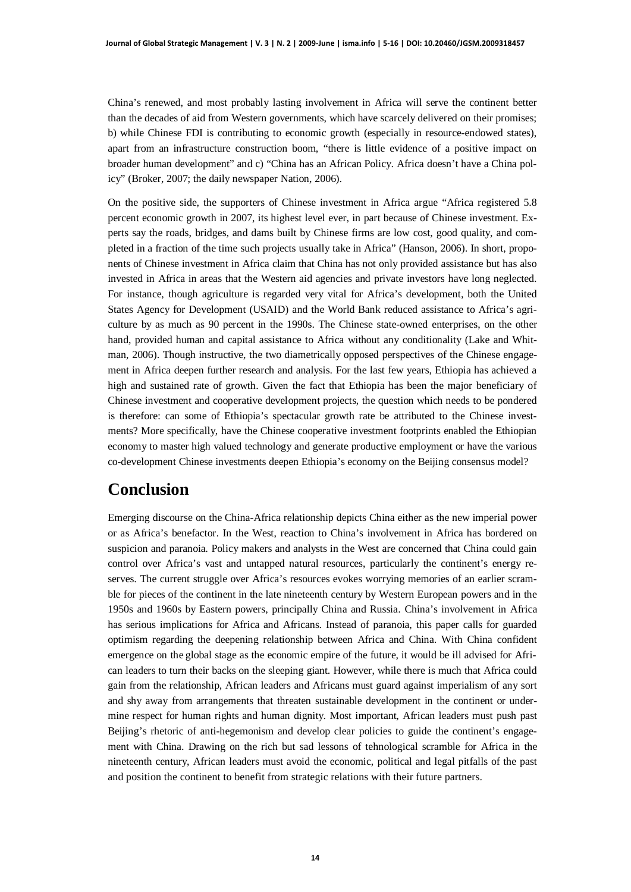China's renewed, and most probably lasting involvement in Africa will serve the continent better than the decades of aid from Western governments, which have scarcely delivered on their promises; b) while Chinese FDI is contributing to economic growth (especially in resource-endowed states), apart from an infrastructure construction boom, "there is little evidence of a positive impact on broader human development" and c) "China has an African Policy. Africa doesn't have a China policy" (Broker, 2007; the daily newspaper Nation, 2006).

On the positive side, the supporters of Chinese investment in Africa argue "Africa registered 5.8 percent economic growth in 2007, its highest level ever, in part because of Chinese investment. Experts say the roads, bridges, and dams built by Chinese firms are low cost, good quality, and completed in a fraction of the time such projects usually take in Africa" (Hanson, 2006). In short, proponents of Chinese investment in Africa claim that China has not only provided assistance but has also invested in Africa in areas that the Western aid agencies and private investors have long neglected. For instance, though agriculture is regarded very vital for Africa's development, both the United States Agency for Development (USAID) and the World Bank reduced assistance to Africa's agriculture by as much as 90 percent in the 1990s. The Chinese state-owned enterprises, on the other hand, provided human and capital assistance to Africa without any conditionality (Lake and Whitman, 2006). Though instructive, the two diametrically opposed perspectives of the Chinese engagement in Africa deepen further research and analysis. For the last few years, Ethiopia has achieved a high and sustained rate of growth. Given the fact that Ethiopia has been the major beneficiary of Chinese investment and cooperative development projects, the question which needs to be pondered is therefore: can some of Ethiopia's spectacular growth rate be attributed to the Chinese investments? More specifically, have the Chinese cooperative investment footprints enabled the Ethiopian economy to master high valued technology and generate productive employment or have the various co-development Chinese investments deepen Ethiopia's economy on the Beijing consensus model?

## **Conclusion**

Emerging discourse on the China-Africa relationship depicts China either as the new imperial power or as Africa's benefactor. In the West, reaction to China's involvement in Africa has bordered on suspicion and paranoia. Policy makers and analysts in the West are concerned that China could gain control over Africa's vast and untapped natural resources, particularly the continent's energy reserves. The current struggle over Africa's resources evokes worrying memories of an earlier scramble for pieces of the continent in the late nineteenth century by Western European powers and in the 1950s and 1960s by Eastern powers, principally China and Russia. China's involvement in Africa has serious implications for Africa and Africans. Instead of paranoia, this paper calls for guarded optimism regarding the deepening relationship between Africa and China. With China confident emergence on the global stage as the economic empire of the future, it would be ill advised for African leaders to turn their backs on the sleeping giant. However, while there is much that Africa could gain from the relationship, African leaders and Africans must guard against imperialism of any sort and shy away from arrangements that threaten sustainable development in the continent or undermine respect for human rights and human dignity. Most important, African leaders must push past Beijing's rhetoric of anti-hegemonism and develop clear policies to guide the continent's engagement with China. Drawing on the rich but sad lessons of tehnological scramble for Africa in the nineteenth century, African leaders must avoid the economic, political and legal pitfalls of the past and position the continent to benefit from strategic relations with their future partners.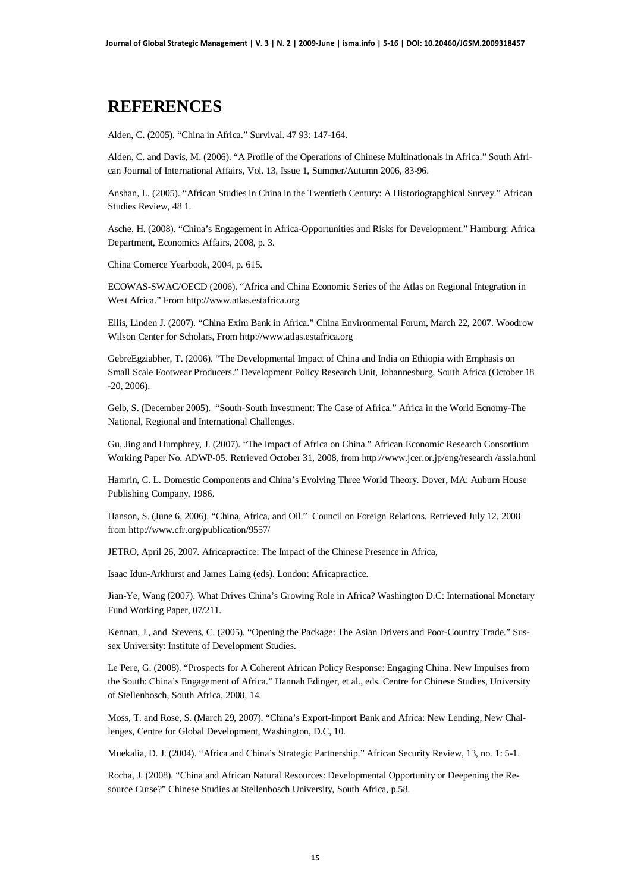#### **REFERENCES**

Alden, C. (2005). "China in Africa." Survival. 47 93: 147-164.

Alden, C. and Davis, M. (2006). "A Profile of the Operations of Chinese Multinationals in Africa." South African Journal of International Affairs, Vol. 13, Issue 1, Summer/Autumn 2006, 83-96.

Anshan, L. (2005). "African Studies in China in the Twentieth Century: A Historiograpghical Survey." African Studies Review, 48 1.

Asche, H. (2008). "China's Engagement in Africa-Opportunities and Risks for Development." Hamburg: Africa Department, Economics Affairs, 2008, p. 3.

China Comerce Yearbook, 2004, p. 615.

ECOWAS-SWAC/OECD (2006). "Africa and China Economic Series of the Atlas on Regional Integration in West Africa." From [http://www.atlas.estafrica.org](http://www.atlas.estafrica.org/)

Ellis, Linden J. (2007). "China Exim Bank in Africa." China Environmental Forum, March 22, 2007. Woodrow Wilson Center for Scholars, From [http://www.atlas.estafrica.org](http://www.atlas.estafrica.org/)

GebreEgziabher, T. (2006). "The Developmental Impact of China and India on Ethiopia with Emphasis on Small Scale Footwear Producers." Development Policy Research Unit, Johannesburg, South Africa (October 18 -20, 2006).

Gelb, S. (December 2005). "South-South Investment: The Case of Africa." Africa in the World Ecnomy-The National, Regional and International Challenges.

Gu, Jing and Humphrey, J. (2007). "The Impact of Africa on China." African Economic Research Consortium Working Paper No. ADWP-05. Retrieved October 31, 2008, from <http://www.jcer.or.jp/eng/research> /assia.html

Hamrin, C. L. Domestic Components and China's Evolving Three World Theory. Dover, MA: Auburn House Publishing Company, 1986.

Hanson, S. (June 6, 2006). "China, Africa, and Oil." Council on Foreign Relations. Retrieved July 12, 2008 from<http://www.cfr.org/publication/9557/>

JETRO, April 26, 2007. Africapractice: The Impact of the Chinese Presence in Africa,

Isaac Idun-Arkhurst and James Laing (eds). London: Africapractice.

Jian-Ye, Wang (2007). What Drives China's Growing Role in Africa? Washington D.C: International Monetary Fund Working Paper, 07/211*.*

Kennan, J., and Stevens, C. (2005). "Opening the Package: The Asian Drivers and Poor-Country Trade." Sussex University: Institute of Development Studies.

Le Pere, G. (2008). "Prospects for A Coherent African Policy Response: Engaging China. New Impulses from the South: China's Engagement of Africa." Hannah Edinger, et al., eds. Centre for Chinese Studies, University of Stellenbosch, South Africa, 2008, 14.

Moss, T. and Rose, S. (March 29, 2007). "China's Export-Import Bank and Africa: New Lending, New Challenges, Centre for Global Development, Washington, D.C, 10.

Muekalia, D. J. (2004). "Africa and China's Strategic Partnership." African Security Review, 13, no. 1: 5-1.

Rocha, J. (2008). "China and African Natural Resources: Developmental Opportunity or Deepening the Resource Curse?" Chinese Studies at Stellenbosch University, South Africa, p.58.